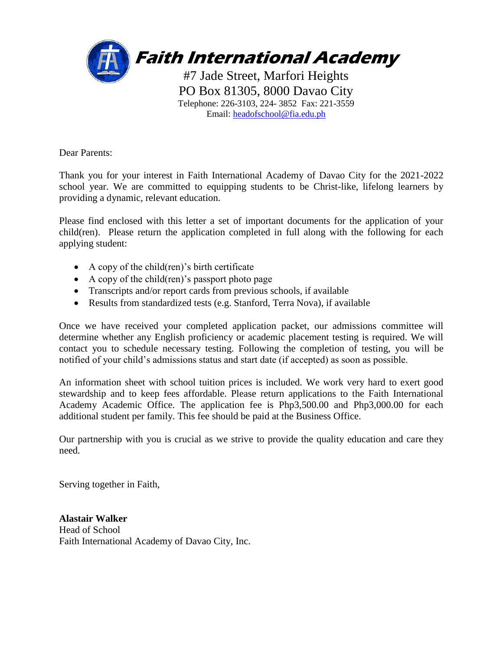

Email: [headofschool@fia.edu.ph](mailto:headofschool@fia.edu.ph)

Dear Parents:

Thank you for your interest in Faith International Academy of Davao City for the 2021-2022 school year. We are committed to equipping students to be Christ-like, lifelong learners by providing a dynamic, relevant education.

Please find enclosed with this letter a set of important documents for the application of your child(ren). Please return the application completed in full along with the following for each applying student:

- A copy of the child(ren)'s birth certificate
- A copy of the child(ren)'s passport photo page
- Transcripts and/or report cards from previous schools, if available
- Results from standardized tests (e.g. Stanford, Terra Nova), if available

Once we have received your completed application packet, our admissions committee will determine whether any English proficiency or academic placement testing is required. We will contact you to schedule necessary testing. Following the completion of testing, you will be notified of your child's admissions status and start date (if accepted) as soon as possible.

An information sheet with school tuition prices is included. We work very hard to exert good stewardship and to keep fees affordable. Please return applications to the Faith International Academy Academic Office. The application fee is Php3,500.00 and Php3,000.00 for each additional student per family. This fee should be paid at the Business Office.

Our partnership with you is crucial as we strive to provide the quality education and care they need.

Serving together in Faith,

**Alastair Walker** Head of School Faith International Academy of Davao City, Inc.